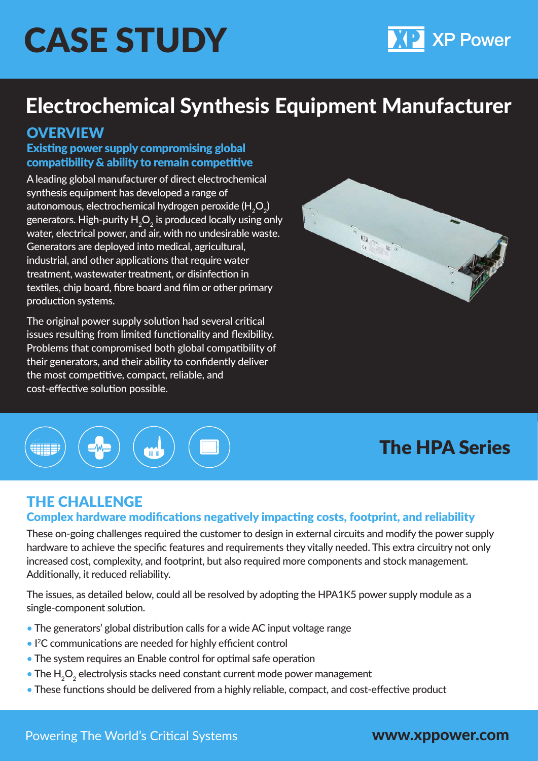# CASE STUDY

# Electrochemical Synthesis Equipment Manufacturer

## **OVERVIEW**

#### Existing power supply compromising global compatibility & ability to remain competitive

A leading global manufacturer of direct electrochemical synthesis equipment has developed a range of autonomous, electrochemical hydrogen peroxide (H $_{2}$ O $_{2}$ ) generators. High-purity  ${\sf H}_2{\sf O}_2$  is produced locally using only water, electrical power, and air, with no undesirable waste. Generators are deployed into medical, agricultural, industrial, and other applications that require water treatment, wastewater treatment, or disinfection in textiles, chip board, fibre board and film or other primary production systems.

The original power supply solution had several critical issues resulting from limited functionality and flexibility. Problems that compromised both global compatibility of their generators, and their ability to confidently deliver the most competitive, compact, reliable, and cost-effective solution possible.





# The HPA Series

**XP Power** 

# THE CHALLENGE

#### Complex hardware modifications negatively impacting costs, footprint, and reliability

These on-going challenges required the customer to design in external circuits and modify the power supply hardware to achieve the specific features and requirements they vitally needed. This extra circuitry not only increased cost, complexity, and footprint, but also required more components and stock management. Additionally, it reduced reliability.

The issues, as detailed below, could all be resolved by adopting the HPA1K5 power supply module as a single-component solution.

- The generators' global distribution calls for a wide AC input voltage range
- I<sup>2</sup>C communications are needed for highly efficient control
- The system requires an Enable control for optimal safe operation
- $\bullet$  The  ${\sf H}_{\tiny 2} {\sf O}_{\tiny 2}$  electrolysis stacks need constant current mode power management
- These functions should be delivered from a highly reliable, compact, and cost-effective product

www.xppower.com